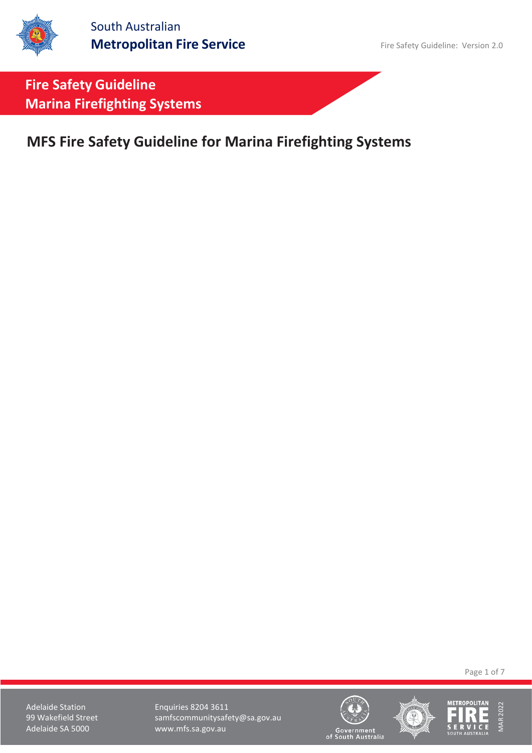**MFS Fire Safety Guideline for Marina Firefighting Systems**

Page 1 of 7

Adelaide Station **Enquiries 8204 3611** 99 Wakefield Street samfscommunitysafety@sa.gov.au<br>Adelaide SA 5000 www.mfs.sa.gov.au www.mfs.sa.gov.au





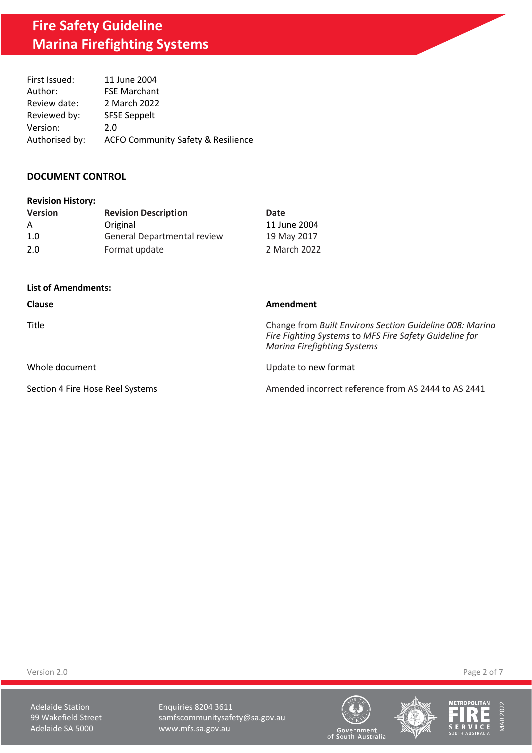| First Issued:  | 11 June 2004                                  |
|----------------|-----------------------------------------------|
| Author:        | <b>FSE Marchant</b>                           |
| Review date:   | 2 March 2022                                  |
| Reviewed by:   | <b>SFSE Seppelt</b>                           |
| Version:       | 2.0                                           |
| Authorised by: | <b>ACFO Community Safety &amp; Resilience</b> |

## **DOCUMENT CONTROL**

| <b>Revision History:</b> |  |
|--------------------------|--|
|--------------------------|--|

| <b>Version</b> | <b>Revision Description</b> | Date         |
|----------------|-----------------------------|--------------|
| A              | Original                    | 11 June 2004 |
| 1.0            | General Departmental review | 19 May 2017  |
| 2.0            | Format update               | 2 March 2022 |

### **List of Amendments:**

| <b>Clause</b>                    | Amendment                                                                                                                                                |
|----------------------------------|----------------------------------------------------------------------------------------------------------------------------------------------------------|
| Title                            | Change from Built Environs Section Guideline 008: Marina<br>Fire Fighting Systems to MFS Fire Safety Guideline for<br><b>Marina Firefighting Systems</b> |
| Whole document                   | Update to new format                                                                                                                                     |
| Section 4 Fire Hose Reel Systems | Amended incorrect reference from AS 2444 to AS 2441                                                                                                      |

Version 2.0 Page 2 of 7

Adelaide Station **Enquiries 8204 3611** 99 Wakefield Street samfscommunitysafety@sa.gov.au<br>Adelaide SA 5000 www.mfs.sa.gov.au www.mfs.sa.gov.au





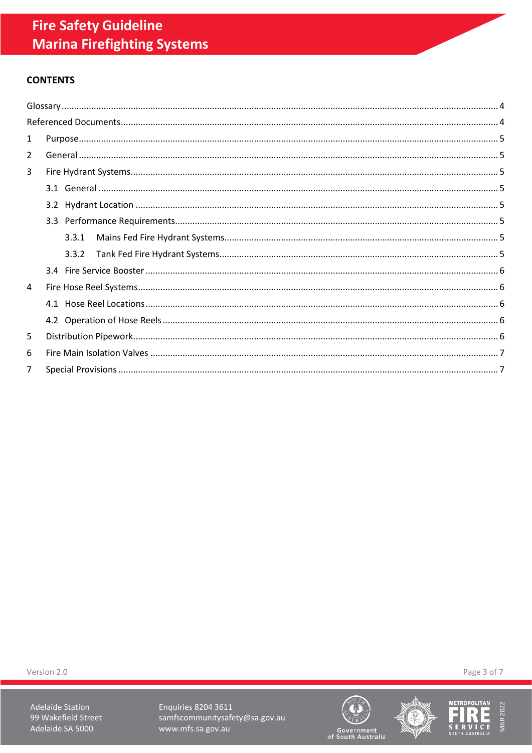# **CONTENTS**

| $\mathbf{1}$   |       |  |  |  |
|----------------|-------|--|--|--|
| $\overline{2}$ |       |  |  |  |
| 3              |       |  |  |  |
|                |       |  |  |  |
|                |       |  |  |  |
|                |       |  |  |  |
|                | 3.3.1 |  |  |  |
|                | 3.3.2 |  |  |  |
|                |       |  |  |  |
| 4              |       |  |  |  |
|                |       |  |  |  |
|                |       |  |  |  |
| 5              |       |  |  |  |
| 6              |       |  |  |  |
| 7              |       |  |  |  |

Version 2.0

**Adelaide Station** 99 Wakefield Street Adelaide SA 5000

Enquiries 8204 3611 samfscommunitysafety@sa.gov.au www.mfs.sa.gov.au







Page 3 of 7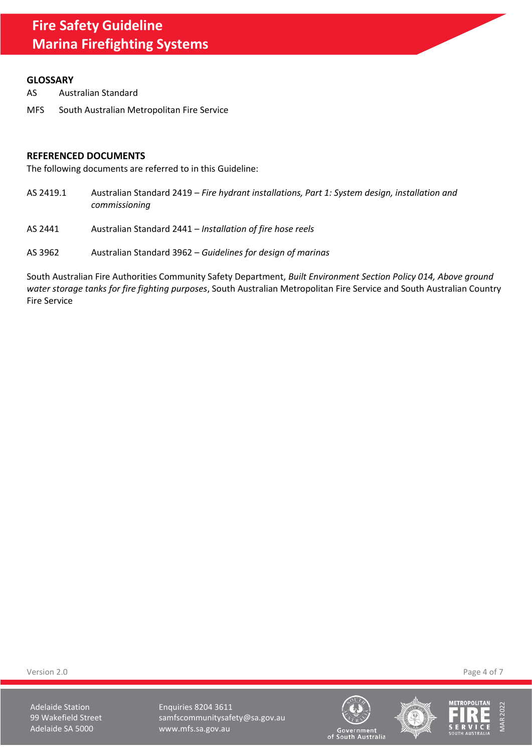### <span id="page-3-0"></span>**GLOSSARY**

- AS Australian Standard
- MFS South Australian Metropolitan Fire Service

### <span id="page-3-1"></span>**REFERENCED DOCUMENTS**

The following documents are referred to in this Guideline:

- AS 2419.1 Australian Standard 2419 *Fire hydrant installations, Part 1: System design, installation and commissioning*
- AS 2441 Australian Standard 2441 *Installation of fire hose reels*
- AS 3962 Australian Standard 3962 *Guidelines for design of marinas*

South Australian Fire Authorities Community Safety Department, *Built Environment Section Policy 014, Above ground water storage tanks for fire fighting purposes*, South Australian Metropolitan Fire Service and South Australian Country Fire Service

Version 2.0 Page 4 of 7

Adelaide Station **Enquiries 8204 3611** 99 Wakefield Street samfscommunitysafety@sa.gov.au Adelaide SA 5000 www.mfs.sa.gov.au





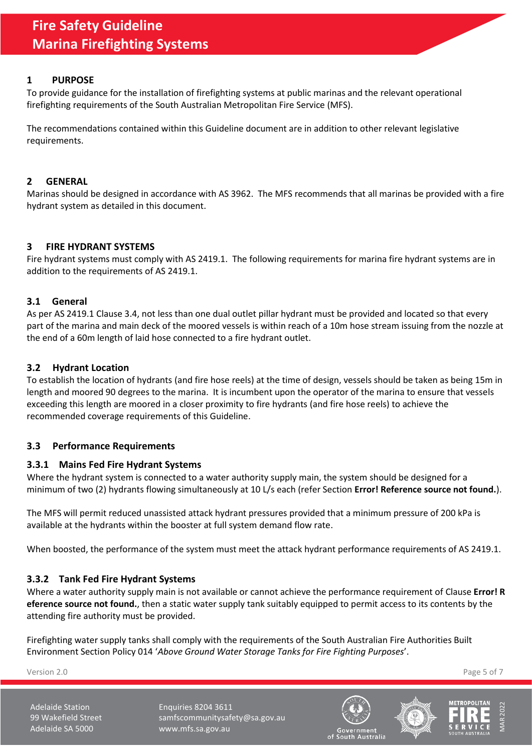# <span id="page-4-0"></span>**1 PURPOSE**

To provide guidance for the installation of firefighting systems at public marinas and the relevant operational firefighting requirements of the South Australian Metropolitan Fire Service (MFS).

The recommendations contained within this Guideline document are in addition to other relevant legislative requirements.

# <span id="page-4-1"></span>**2 GENERAL**

Marinas should be designed in accordance with AS 3962. The MFS recommends that all marinas be provided with a fire hydrant system as detailed in this document.

# <span id="page-4-2"></span>**3 FIRE HYDRANT SYSTEMS**

Fire hydrant systems must comply with AS 2419.1. The following requirements for marina fire hydrant systems are in addition to the requirements of AS 2419.1.

# <span id="page-4-3"></span>**3.1 General**

As per AS 2419.1 Clause 3.4, not less than one dual outlet pillar hydrant must be provided and located so that every part of the marina and main deck of the moored vessels is within reach of a 10m hose stream issuing from the nozzle at the end of a 60m length of laid hose connected to a fire hydrant outlet.

# <span id="page-4-4"></span>**3.2 Hydrant Location**

To establish the location of hydrants (and fire hose reels) at the time of design, vessels should be taken as being 15m in length and moored 90 degrees to the marina. It is incumbent upon the operator of the marina to ensure that vessels exceeding this length are moored in a closer proximity to fire hydrants (and fire hose reels) to achieve the recommended coverage requirements of this Guideline.

# <span id="page-4-5"></span>**3.3 Performance Requirements**

# <span id="page-4-6"></span>**3.3.1 Mains Fed Fire Hydrant Systems**

Where the hydrant system is connected to a water authority supply main, the system should be designed for a minimum of two (2) hydrants flowing simultaneously at 10 L/s each (refer Section **Error! Reference source not found.**).

The MFS will permit reduced unassisted attack hydrant pressures provided that a minimum pressure of 200 kPa is available at the hydrants within the booster at full system demand flow rate.

When boosted, the performance of the system must meet the attack hydrant performance requirements of AS 2419.1.

# <span id="page-4-7"></span>**3.3.2 Tank Fed Fire Hydrant Systems**

Where a water authority supply main is not available or cannot achieve the performance requirement of Clause **Error! R eference source not found.**, then a static water supply tank suitably equipped to permit access to its contents by the attending fire authority must be provided.

Firefighting water supply tanks shall comply with the requirements of the South Australian Fire Authorities Built Environment Section Policy 014 '*Above Ground Water Storage Tanks for Fire Fighting Purposes*'.

Version 2.0 Page 5 of 7

Adelaide Station **Enquiries 8204 3611** 99 Wakefield Street samfscommunitysafety@sa.gov.au Adelaide SA 5000 www.mfs.sa.gov.au







of South Australia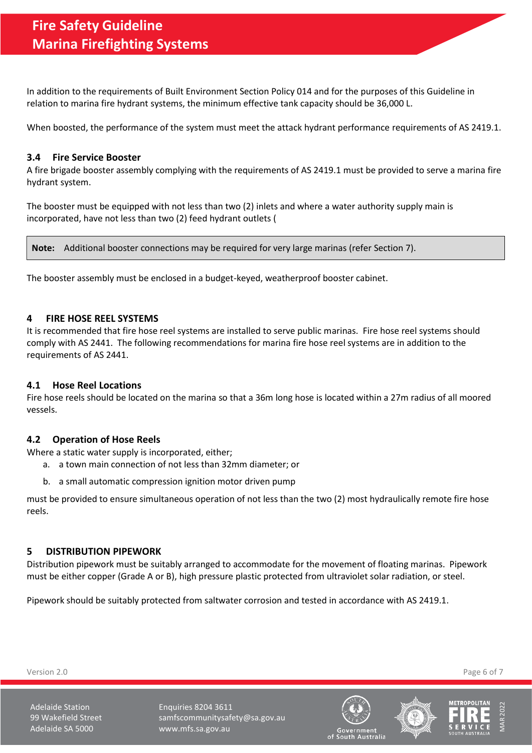In addition to the requirements of Built Environment Section Policy 014 and for the purposes of this Guideline in relation to marina fire hydrant systems, the minimum effective tank capacity should be 36,000 L.

When boosted, the performance of the system must meet the attack hydrant performance requirements of AS 2419.1.

## <span id="page-5-0"></span>**3.4 Fire Service Booster**

A fire brigade booster assembly complying with the requirements of AS 2419.1 must be provided to serve a marina fire hydrant system.

The booster must be equipped with not less than two (2) inlets and where a water authority supply main is incorporated, have not less than two (2) feed hydrant outlets (

**Note:** Additional booster connections may be required for very large marinas (refer Section [7\)](#page-6-1).

The booster assembly must be enclosed in a budget-keyed, weatherproof booster cabinet.

## <span id="page-5-1"></span>**4 FIRE HOSE REEL SYSTEMS**

It is recommended that fire hose reel systems are installed to serve public marinas. Fire hose reel systems should comply with AS 2441. The following recommendations for marina fire hose reel systems are in addition to the requirements of AS 2441.

# <span id="page-5-2"></span>**4.1 Hose Reel Locations**

Fire hose reels should be located on the marina so that a 36m long hose is located within a 27m radius of all moored vessels.

### <span id="page-5-3"></span>**4.2 Operation of Hose Reels**

Where a static water supply is incorporated, either;

- a. a town main connection of not less than 32mm diameter; or
- b. a small automatic compression ignition motor driven pump

must be provided to ensure simultaneous operation of not less than the two (2) most hydraulically remote fire hose reels.

### <span id="page-5-4"></span>**5 DISTRIBUTION PIPEWORK**

Distribution pipework must be suitably arranged to accommodate for the movement of floating marinas. Pipework must be either copper (Grade A or B), high pressure plastic protected from ultraviolet solar radiation, or steel.

Pipework should be suitably protected from saltwater corrosion and tested in accordance with AS 2419.1.

Adelaide Station **Enquiries 8204 3611** 99 Wakefield Street samfscommunitysafety@sa.gov.au Adelaide SA 5000 www.mfs.sa.gov.au







of South Australia